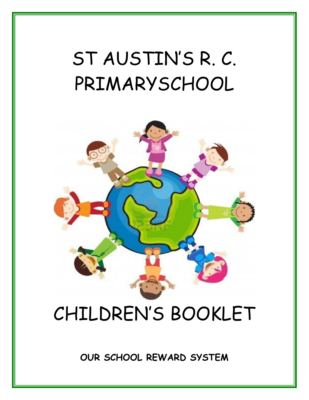# ST AUSTIN'S R. C. PRIMARYSCHOOL



## CHILDREN'S BOOKLET

**OUR SCHOOL REWARD SYSTEM**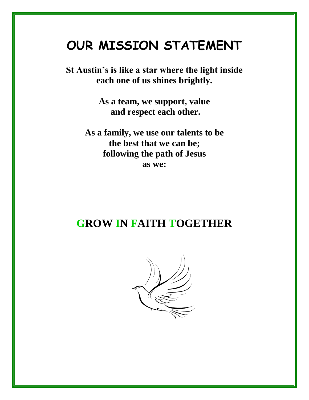### **OUR MISSION STATEMENT**

**St Austin's is like a star where the light inside each one of us shines brightly.**

> **As a team, we support, value and respect each other.**

**As a family, we use our talents to be the best that we can be; following the path of Jesus as we:**

### **GROW IN FAITH TOGETHER**

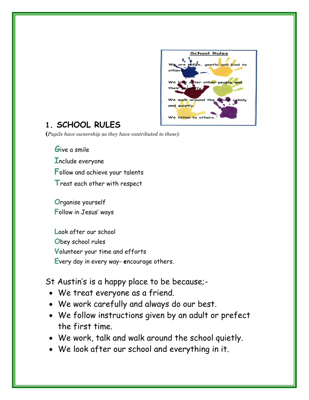

#### **1. SCHOOL RULES**

**(***Pupils have ownership as they have contributed to these):*

 **G**ive a smile **I**nclude everyone **F**ollow and achieve your talents **T**reat each other with respect

**O**rganise yourself **F**ollow in Jesus' ways

**L**ook after our school **O**bey school rules **V**olunteer your time and efforts **E**very day in every way- **e**ncourage others.

#### St Austin's is a happy place to be because;-

- We treat everyone as a friend.
- We work carefully and always do our best.
- We follow instructions given by an adult or prefect the first time.
- We work, talk and walk around the school quietly.
- We look after our school and everything in it.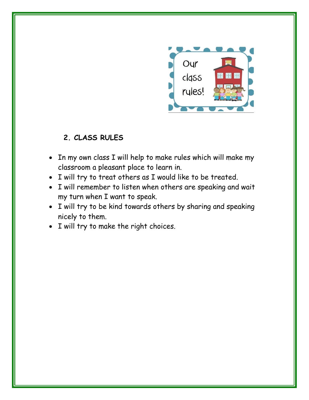

#### **2. CLASS RULES**

- In my own class I will help to make rules which will make my classroom a pleasant place to learn in.
- I will try to treat others as I would like to be treated.
- I will remember to listen when others are speaking and wait my turn when I want to speak.
- I will try to be kind towards others by sharing and speaking nicely to them.
- I will try to make the right choices.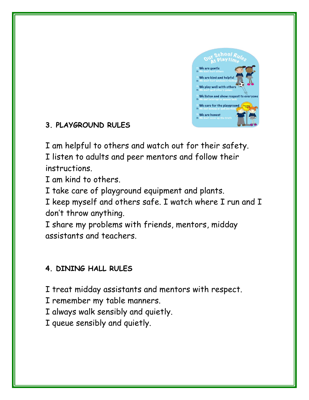

#### **3. PLAYGROUND RULES**

I am helpful to others and watch out for their safety.

I listen to adults and peer mentors and follow their instructions.

I am kind to others.

I take care of playground equipment and plants.

I keep myself and others safe. I watch where I run and I don't throw anything.

I share my problems with friends, mentors, midday assistants and teachers.

#### **4. DINING HALL RULES**

I treat midday assistants and mentors with respect.

I remember my table manners.

I always walk sensibly and quietly.

I queue sensibly and quietly.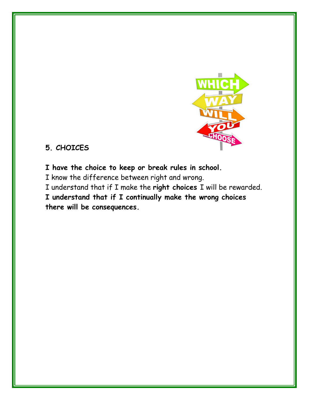

#### **5. CHOICES**

**I have the choice to keep or break rules in school.** 

I know the difference between right and wrong.

I understand that if I make the **right choices** I will be rewarded.

**I understand that if I continually make the wrong choices there will be consequences.**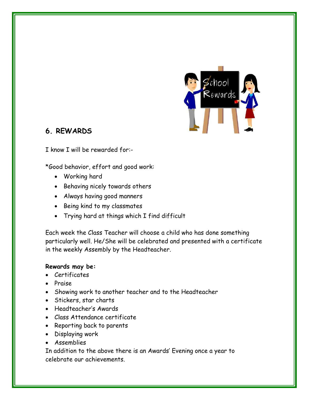

#### **6. REWARDS**

I know I will be rewarded for:-

\*Good behavior, effort and good work:

- Working hard
- Behaving nicely towards others
- Always having good manners
- Being kind to my classmates
- Trying hard at things which I find difficult

Each week the Class Teacher will choose a child who has done something particularly well. He/She will be celebrated and presented with a certificate in the weekly Assembly by the Headteacher.

#### **Rewards may be:**

- Certificates
- Praise
- Showing work to another teacher and to the Headteacher
- Stickers, star charts
- Headteacher's Awards
- Class Attendance certificate
- Reporting back to parents
- Displaying work
- Assemblies

In addition to the above there is an Awards' Evening once a year to celebrate our achievements.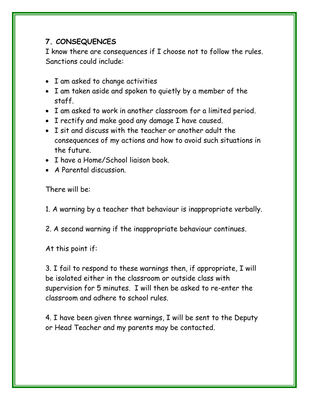#### **7. CONSEQUENCES**

I know there are consequences if I choose not to follow the rules. Sanctions could include:

- I am asked to change activities
- I am taken aside and spoken to quietly by a member of the staff.
- I am asked to work in another classroom for a limited period.
- I rectify and make good any damage I have caused.
- I sit and discuss with the teacher or another adult the consequences of my actions and how to avoid such situations in the future.
- I have a Home/School liaison book.
- A Parental discussion.

There will be:

1. A warning by a teacher that behaviour is inappropriate verbally.

2. A second warning if the inappropriate behaviour continues.

At this point if:

3. I fail to respond to these warnings then, if appropriate, I will be isolated either in the classroom or outside class with supervision for 5 minutes. I will then be asked to re-enter the classroom and adhere to school rules.

4. I have been given three warnings, I will be sent to the Deputy or Head Teacher and my parents may be contacted.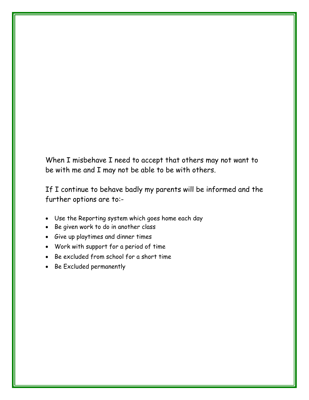When I misbehave I need to accept that others may not want to be with me and I may not be able to be with others.

If I continue to behave badly my parents will be informed and the further options are to:-

- Use the Reporting system which goes home each day
- Be given work to do in another class
- Give up playtimes and dinner times
- Work with support for a period of time
- Be excluded from school for a short time
- Be Excluded permanently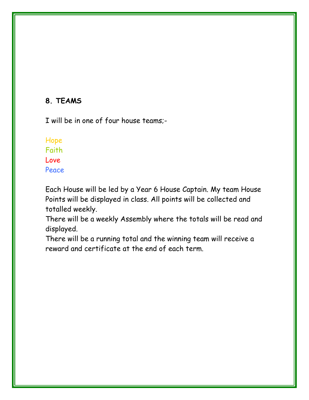#### **8. TEAMS**

I will be in one of four house teams;-

#### Hope Faith Love Peace

Each House will be led by a Year 6 House Captain. My team House Points will be displayed in class. All points will be collected and totalled weekly.

There will be a weekly Assembly where the totals will be read and displayed.

There will be a running total and the winning team will receive a reward and certificate at the end of each term.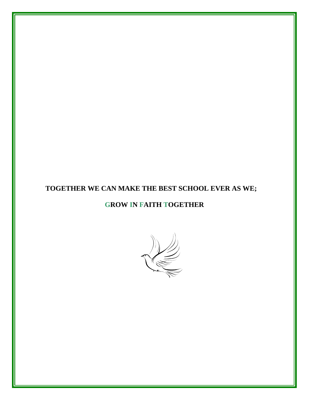#### **TOGETHER WE CAN MAKE THE BEST SCHOOL EVER AS WE;**

#### **GROW IN FAITH TOGETHER**